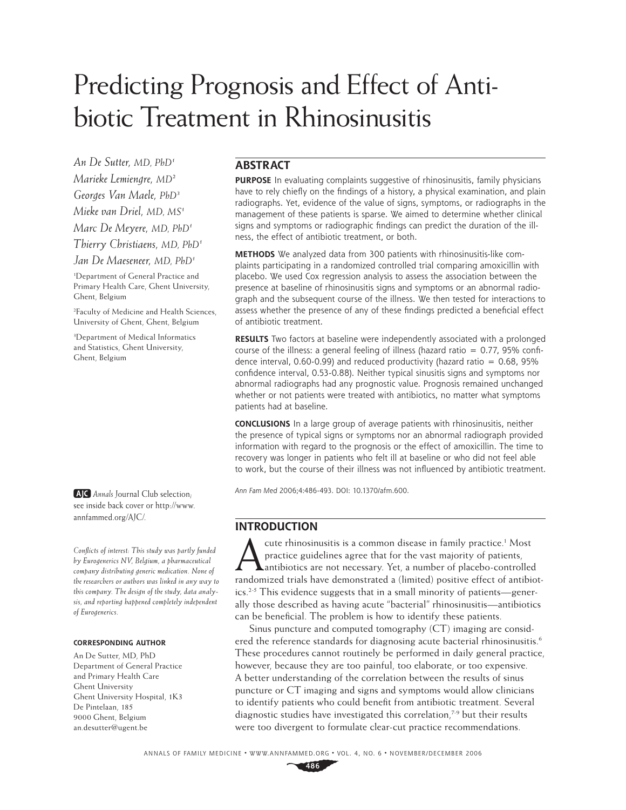# Predicting Prognosis and Effect of Antibiotic Treatment in Rhinosinusitis

*An De Sutter, MD, PhD1 Marieke Lemiengre, MD2 Georges Van Maele, PhD3 Mieke van Driel, MD, MS1 Marc De Meyere, MD, PhD1 Thierry Christiaens, MD, PhD1*

*Jan De Maeseneer, MD, PhD1*

1 Department of General Practice and Primary Health Care, Ghent University, Ghent, Belgium

2 Faculty of Medicine and Health Sciences, University of Ghent, Ghent, Belgium

3 Department of Medical Informatics and Statistics, Ghent University, Ghent, Belgium

**AJC** Annals Journal Club selection; see inside back cover or http://www. annfammed.org/AJC/.

*Confl icts of interest: This study was partly funded by Eurogenerics NV, Belgium, a pharmaceutical company distributing generic medication. None of the researchers or authors was linked in any way to this company. The design of the study, data analysis, and reporting happened completely independent of Eurogenerics.*

#### **CORRESPONDING AUTHOR**

An De Sutter, MD, PhD Department of General Practice and Primary Health Care Ghent University Ghent University Hospital, 1K3 De Pintelaan, 185 9000 Ghent, Belgium an.desutter@ugent.be

## **ABSTRACT**

**PURPOSE** In evaluating complaints suggestive of rhinosinusitis, family physicians have to rely chiefly on the findings of a history, a physical examination, and plain radiographs. Yet, evidence of the value of signs, symptoms, or radiographs in the management of these patients is sparse. We aimed to determine whether clinical signs and symptoms or radiographic findings can predict the duration of the illness, the effect of antibiotic treatment, or both.

**METHODS** We analyzed data from 300 patients with rhinosinusitis-like complaints participating in a randomized controlled trial comparing amoxicillin with placebo. We used Cox regression analysis to assess the association between the presence at baseline of rhinosinusitis signs and symptoms or an abnormal radiograph and the subsequent course of the illness. We then tested for interactions to assess whether the presence of any of these findings predicted a beneficial effect of antibiotic treatment.

**RESULTS** Two factors at baseline were independently associated with a prolonged course of the illness: a general feeling of illness (hazard ratio  $= 0.77$ , 95% confidence interval, 0.60-0.99) and reduced productivity (hazard ratio =  $0.68$ , 95% confidence interval, 0.53-0.88). Neither typical sinusitis signs and symptoms nor abnormal radiographs had any prognostic value. Prognosis remained unchanged whether or not patients were treated with antibiotics, no matter what symptoms patients had at baseline.

**CONCLUSIONS** In a large group of average patients with rhinosinusitis, neither the presence of typical signs or symptoms nor an abnormal radiograph provided information with regard to the prognosis or the effect of amoxicillin. The time to recovery was longer in patients who felt ill at baseline or who did not feel able to work, but the course of their illness was not influenced by antibiotic treatment.

Ann Fam Med 2006;4:486-493. DOI: 10.1370/afm.600.

# **INTRODUCTION**

The cute rhinosinusitis is a common disease in family practice.<sup>1</sup> Most<br>practice guidelines agree that for the vast majority of patients,<br>antibiotics are not necessary. Yet, a number of placebo-controlled<br>practice at a fam cute rhinosinusitis is a common disease in family practice.<sup>1</sup> Most practice guidelines agree that for the vast majority of patients, randomized trials have demonstrated a (limited) positive effect of antibiotics.2-5 This evidence suggests that in a small minority of patients—generally those described as having acute "bacterial" rhinosinusitis—antibiotics can be beneficial. The problem is how to identify these patients.

Sinus puncture and computed tomography (CT) imaging are considered the reference standards for diagnosing acute bacterial rhinosinusitis.<sup>6</sup> These procedures cannot routinely be performed in daily general practice, however, because they are too painful, too elaborate, or too expensive. A better understanding of the correlation between the results of sinus puncture or CT imaging and signs and symptoms would allow clinicians to identify patients who could benefit from antibiotic treatment. Several diagnostic studies have investigated this correlation,<sup>7-9</sup> but their results were too divergent to formulate clear-cut practice recommendations.

ANNALS OF FAMILY MEDICINE ✦ WWW.ANNFAMMED.ORG ✦ VOL. 4, NO. 6 ✦ NOVEMBER/DECEMBER 2006

**486**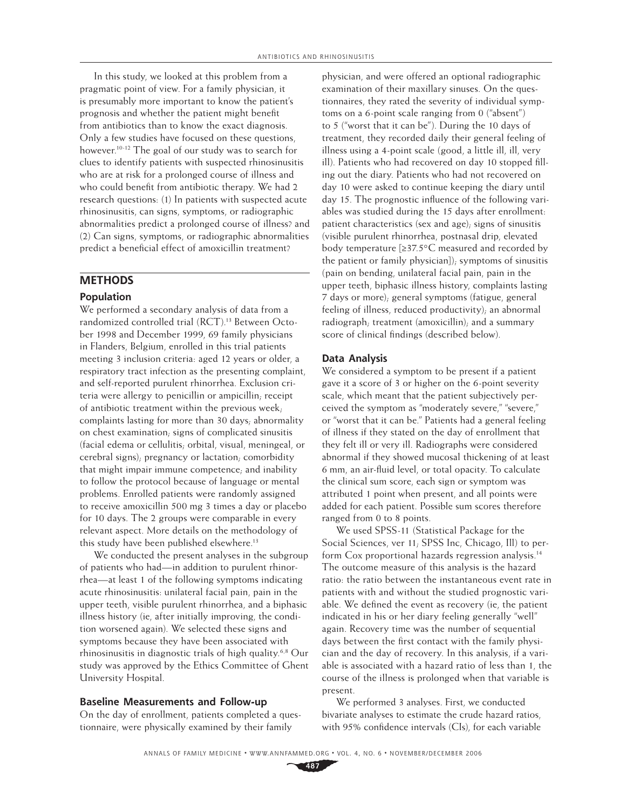In this study, we looked at this problem from a pragmatic point of view. For a family physician, it is presumably more important to know the patient's prognosis and whether the patient might benefit from antibiotics than to know the exact diagnosis. Only a few studies have focused on these questions, however.<sup>10-12</sup> The goal of our study was to search for clues to identify patients with suspected rhinosinusitis who are at risk for a prolonged course of illness and who could benefit from antibiotic therapy. We had 2 research questions: (1) In patients with suspected acute rhinosinusitis, can signs, symptoms, or radiographic abnormalities predict a prolonged course of illness? and (2) Can signs, symptoms, or radiographic abnormalities predict a beneficial effect of amoxicillin treatment?

## **METHODS**

#### **Population**

We performed a secondary analysis of data from a randomized controlled trial (RCT).<sup>13</sup> Between October 1998 and December 1999, 69 family physicians in Flanders, Belgium, enrolled in this trial patients meeting 3 inclusion criteria: aged 12 years or older, a respiratory tract infection as the presenting complaint, and self-reported purulent rhinorrhea. Exclusion criteria were allergy to penicillin or ampicillin; receipt of antibiotic treatment within the previous week; complaints lasting for more than 30 days; abnormality on chest examination; signs of complicated sinusitis (facial edema or cellulitis; orbital, visual, meningeal, or cerebral signs); pregnancy or lactation; comorbidity that might impair immune competence; and inability to follow the protocol because of language or mental problems. Enrolled patients were randomly assigned to receive amoxicillin 500 mg 3 times a day or placebo for 10 days. The 2 groups were comparable in every relevant aspect. More details on the methodology of this study have been published elsewhere.<sup>13</sup>

We conducted the present analyses in the subgroup of patients who had—in addition to purulent rhinorrhea—at least 1 of the following symptoms indicating acute rhinosinusitis: unilateral facial pain, pain in the upper teeth, visible purulent rhinorrhea, and a biphasic illness history (ie, after initially improving, the condition worsened again). We selected these signs and symptoms because they have been associated with rhinosinusitis in diagnostic trials of high quality.6,8 Our study was approved by the Ethics Committee of Ghent University Hospital.

## **Baseline Measurements and Follow-up**

On the day of enrollment, patients completed a questionnaire, were physically examined by their family

physician, and were offered an optional radiographic examination of their maxillary sinuses. On the questionnaires, they rated the severity of individual symptoms on a 6-point scale ranging from 0 ("absent") to 5 ("worst that it can be"). During the 10 days of treatment, they recorded daily their general feeling of illness using a 4-point scale (good, a little ill, ill, very ill). Patients who had recovered on day 10 stopped filling out the diary. Patients who had not recovered on day 10 were asked to continue keeping the diary until day 15. The prognostic influence of the following variables was studied during the 15 days after enrollment: patient characteristics (sex and age); signs of sinusitis (visible purulent rhinorrhea, postnasal drip, elevated body temperature [≥37.5°C measured and recorded by the patient or family physician]); symptoms of sinusitis (pain on bending, unilateral facial pain, pain in the upper teeth, biphasic illness history, complaints lasting 7 days or more); general symptoms (fatigue, general feeling of illness, reduced productivity); an abnormal radiograph; treatment (amoxicillin); and a summary score of clinical findings (described below).

#### **Data Analysis**

We considered a symptom to be present if a patient gave it a score of 3 or higher on the 6-point severity scale, which meant that the patient subjectively perceived the symptom as "moderately severe," "severe," or "worst that it can be." Patients had a general feeling of illness if they stated on the day of enrollment that they felt ill or very ill. Radiographs were considered abnormal if they showed mucosal thickening of at least 6 mm, an air-fluid level, or total opacity. To calculate the clinical sum score, each sign or symptom was attributed 1 point when present, and all points were added for each patient. Possible sum scores therefore ranged from 0 to 8 points.

We used SPSS-11 (Statistical Package for the Social Sciences, ver 11; SPSS Inc, Chicago, Ill) to perform Cox proportional hazards regression analysis.<sup>14</sup> The outcome measure of this analysis is the hazard ratio: the ratio between the instantaneous event rate in patients with and without the studied prognostic variable. We defined the event as recovery (ie, the patient indicated in his or her diary feeling generally "well" again. Recovery time was the number of sequential days between the first contact with the family physician and the day of recovery. In this analysis, if a variable is associated with a hazard ratio of less than 1, the course of the illness is prolonged when that variable is present.

We performed 3 analyses. First, we conducted bivariate analyses to estimate the crude hazard ratios, with 95% confidence intervals (CIs), for each variable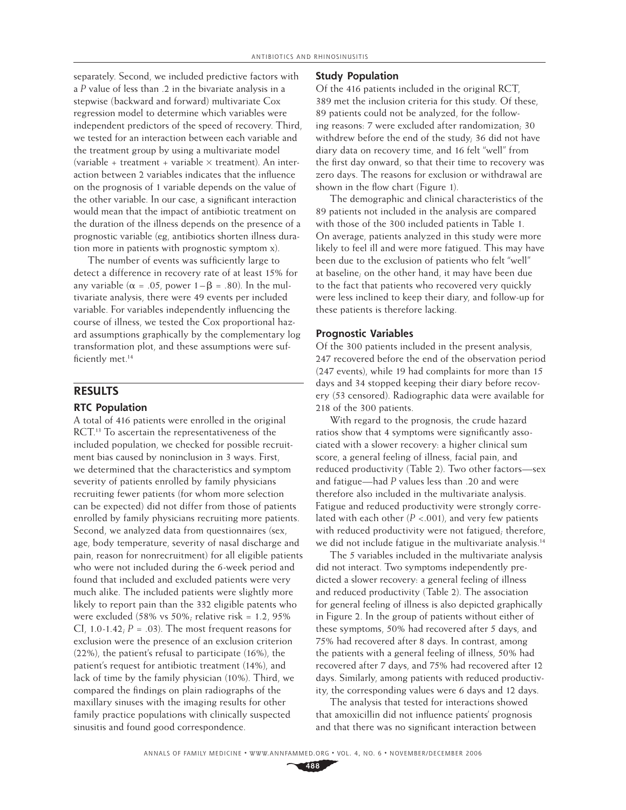separately. Second, we included predictive factors with a *P* value of less than .2 in the bivariate analysis in a stepwise (backward and forward) multivariate Cox regression model to determine which variables were independent predictors of the speed of recovery. Third, we tested for an interaction between each variable and the treatment group by using a multivariate model (variable + treatment + variable  $\times$  treatment). An interaction between 2 variables indicates that the influence on the prognosis of 1 variable depends on the value of the other variable. In our case, a significant interaction would mean that the impact of antibiotic treatment on the duration of the illness depends on the presence of a prognostic variable (eg, antibiotics shorten illness duration more in patients with prognostic symptom x).

The number of events was sufficiently large to detect a difference in recovery rate of at least 15% for any variable ( $\alpha = .05$ , power  $1 - \beta = .80$ ). In the multivariate analysis, there were 49 events per included variable. For variables independently influencing the course of illness, we tested the Cox proportional hazard assumptions graphically by the complementary log transformation plot, and these assumptions were sufficiently met.<sup>14</sup>

# **RESULTS**

## **RTC Population**

A total of 416 patients were enrolled in the original RCT.<sup>13</sup> To ascertain the representativeness of the included population, we checked for possible recruitment bias caused by noninclusion in 3 ways. First, we determined that the characteristics and symptom severity of patients enrolled by family physicians recruiting fewer patients (for whom more selection can be expected) did not differ from those of patients enrolled by family physicians recruiting more patients. Second, we analyzed data from questionnaires (sex, age, body temperature, severity of nasal discharge and pain, reason for nonrecruitment) for all eligible patients who were not included during the 6-week period and found that included and excluded patients were very much alike. The included patients were slightly more likely to report pain than the 332 eligible patents who were excluded (58% vs 50%; relative risk = 1.2, 95% CI, 1.0-1.42;  $P = .03$ ). The most frequent reasons for exclusion were the presence of an exclusion criterion (22%), the patient's refusal to participate (16%), the patient's request for antibiotic treatment (14%), and lack of time by the family physician (10%). Third, we compared the findings on plain radiographs of the maxillary sinuses with the imaging results for other family practice populations with clinically suspected sinusitis and found good correspondence.

## **Study Population**

Of the 416 patients included in the original RCT, 389 met the inclusion criteria for this study. Of these, 89 patients could not be analyzed, for the following reasons: 7 were excluded after randomization; 30 withdrew before the end of the study; 36 did not have diary data on recovery time, and 16 felt "well" from the first day onward, so that their time to recovery was zero days. The reasons for exclusion or withdrawal are shown in the flow chart (Figure 1).

The demographic and clinical characteristics of the 89 patients not included in the analysis are compared with those of the 300 included patients in Table 1. On average, patients analyzed in this study were more likely to feel ill and were more fatigued. This may have been due to the exclusion of patients who felt "well" at baseline; on the other hand, it may have been due to the fact that patients who recovered very quickly were less inclined to keep their diary, and follow-up for these patients is therefore lacking.

#### **Prognostic Variables**

Of the 300 patients included in the present analysis, 247 recovered before the end of the observation period (247 events), while 19 had complaints for more than 15 days and 34 stopped keeping their diary before recovery (53 censored). Radiographic data were available for 218 of the 300 patients.

With regard to the prognosis, the crude hazard ratios show that 4 symptoms were significantly associated with a slower recovery: a higher clinical sum score, a general feeling of illness, facial pain, and reduced productivity (Table 2). Two other factors—sex and fatigue—had *P* values less than .20 and were therefore also included in the multivariate analysis. Fatigue and reduced productivity were strongly correlated with each other  $(P < .001)$ , and very few patients with reduced productivity were not fatigued; therefore, we did not include fatigue in the multivariate analysis.<sup>14</sup>

The 5 variables included in the multivariate analysis did not interact. Two symptoms independently predicted a slower recovery: a general feeling of illness and reduced productivity (Table 2). The association for general feeling of illness is also depicted graphically in Figure 2. In the group of patients without either of these symptoms, 50% had recovered after 5 days, and 75% had recovered after 8 days. In contrast, among the patients with a general feeling of illness, 50% had recovered after 7 days, and 75% had recovered after 12 days. Similarly, among patients with reduced productivity, the corresponding values were 6 days and 12 days.

The analysis that tested for interactions showed that amoxicillin did not influence patients' prognosis and that there was no significant interaction between

**488**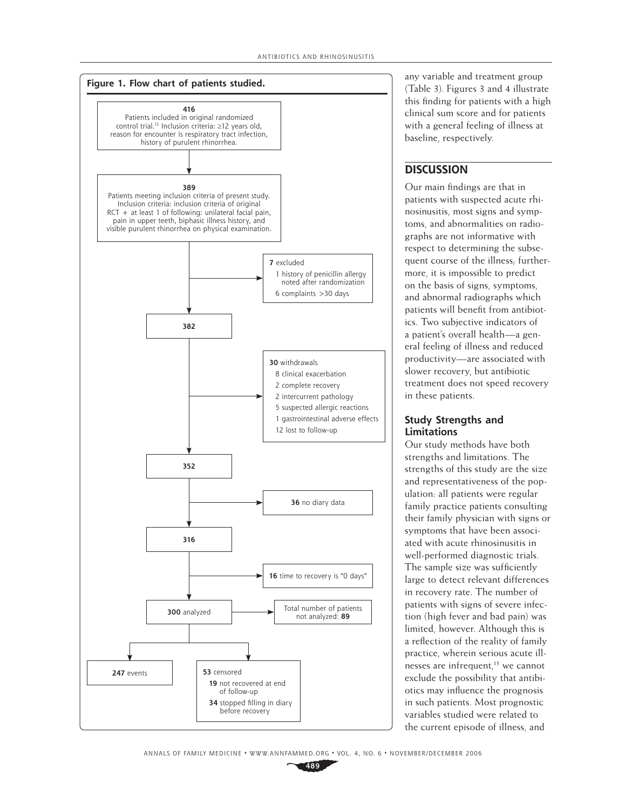

any variable and treatment group (Table 3). Figures 3 and 4 illustrate this finding for patients with a high clinical sum score and for patients with a general feeling of illness at baseline, respectively.

# **DISCUSSION**

Our main findings are that in patients with suspected acute rhinosinusitis, most signs and symptoms, and abnormalities on radiographs are not informative with respect to determining the subsequent course of the illness; furthermore, it is impossible to predict on the basis of signs, symptoms, and abnormal radiographs which patients will benefit from antibiotics. Two subjective indicators of a patient's overall health—a general feeling of illness and reduced productivity—are associated with slower recovery, but antibiotic treatment does not speed recovery in these patients.

## **Study Strengths and Limitations**

Our study methods have both strengths and limitations. The strengths of this study are the size and representativeness of the population: all patients were regular family practice patients consulting their family physician with signs or symptoms that have been associated with acute rhinosinusitis in well-performed diagnostic trials. The sample size was sufficiently large to detect relevant differences in recovery rate. The number of patients with signs of severe infection (high fever and bad pain) was limited, however. Although this is a reflection of the reality of family practice, wherein serious acute illnesses are infrequent,<sup>15</sup> we cannot exclude the possibility that antibiotics may influence the prognosis in such patients. Most prognostic variables studied were related to the current episode of illness, and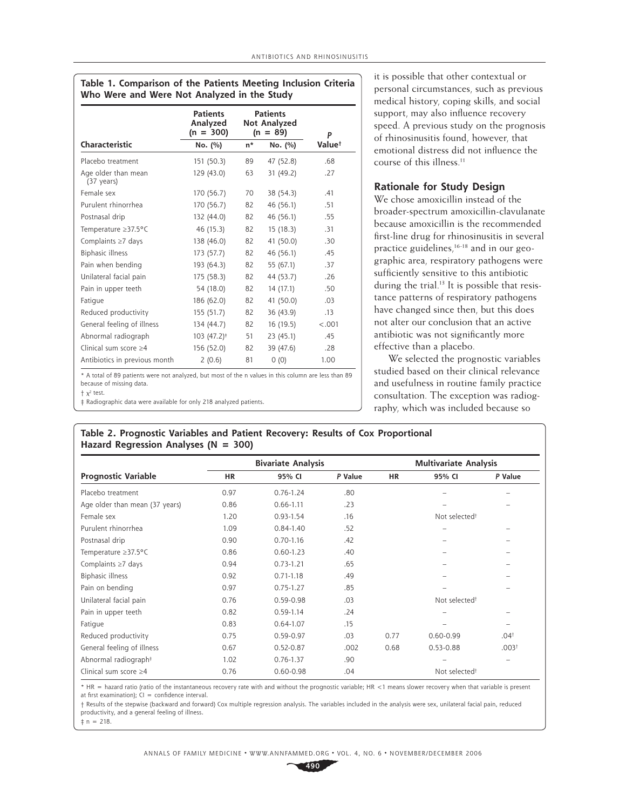|                                             | <b>Patients</b><br>Analyzed<br>$(n = 300)$ |                  | <b>Patients</b><br>Not Analyzed<br>$(n = 89)$ | P      |  |
|---------------------------------------------|--------------------------------------------|------------------|-----------------------------------------------|--------|--|
| Characteristic                              | No. (%)                                    | $n^*$<br>No. (%) |                                               | Value† |  |
| Placebo treatment                           | 151 (50.3)                                 | 89               | 47 (52.8)                                     | .68    |  |
| Age older than mean<br>$(37 \text{ years})$ | 129 (43.0)                                 | 63               | 31 (49.2)                                     | .27    |  |
| Female sex                                  | 170 (56.7)                                 | 70               | 38 (54.3)                                     | .41    |  |
| Purulent rhinorrhea                         | 170 (56.7)                                 | 82               | 46 (56.1)                                     | .51    |  |
| Postnasal drip                              | 132 (44.0)                                 | 82               | 46 (56.1)                                     | .55    |  |
| Temperature ≥37.5°C                         | 46 (15.3)                                  | 82               | 15(18.3)                                      | .31    |  |
| Complaints $\geq 7$ days                    | 138 (46.0)                                 | 82               | 41 (50.0)                                     | .30    |  |
| <b>Biphasic illness</b>                     | 173 (57.7)                                 | 82               | 46 (56.1)                                     | .45    |  |
| Pain when bending                           | 193 (64.3)                                 | 82               | 55 (67.1)                                     | .37    |  |
| Unilateral facial pain                      | 175 (58.3)                                 | 82               | 44 (53.7)                                     | .26    |  |
| Pain in upper teeth                         | 54 (18.0)                                  | 82               | 14(17.1)                                      | .50    |  |
| Fatigue                                     | 186 (62.0)                                 | 82               | 41 (50.0)                                     | .03    |  |
| Reduced productivity                        | 155 (51.7)                                 | 82               | 36 (43.9)                                     | .13    |  |
| General feeling of illness                  | 134 (44.7)                                 | 82               | 16 (19.5)                                     | < .001 |  |
| Abnormal radiograph                         | $103(47.2)^{\ddagger}$                     | 51               | 23 (45.1)                                     | .45    |  |
| Clinical sum score $\geq 4$                 | 156 (52.0)                                 | 82               | 39 (47.6)                                     | .28    |  |
| Antibiotics in previous month               | 2(0.6)                                     | 81               | 0(0)                                          | 1.00   |  |

**Table 1. Comparison of the Patients Meeting Inclusion Criteria** 

\* A total of 89 patients were not analyzed, but most of the n values in this column are less than 89 because of missing data.  $+ x<sup>2</sup>$  test.

‡ Radiographic data were available for only 218 analyzed patients.

it is possible that other contextual or personal circumstances, such as previous medical history, coping skills, and social support, may also influence recovery speed. A previous study on the prognosis of rhinosinusitis found, however, that emotional distress did not influence the course of this illness.<sup>11</sup>

## **Rationale for Study Design**

We chose amoxicillin instead of the broader-spectrum amoxicillin-clavulanate because amoxicillin is the recommended first-line drug for rhinosinusitis in several practice guidelines,<sup>16-18</sup> and in our geographic area, respiratory pathogens were sufficiently sensitive to this antibiotic during the trial.<sup>13</sup> It is possible that resistance patterns of respiratory pathogens have changed since then, but this does not alter our conclusion that an active antibiotic was not significantly more effective than a placebo.

We selected the prognostic variables studied based on their clinical relevance and usefulness in routine family practice consultation. The exception was radiography, which was included because so

## **Table 2. Prognostic Variables and Patient Recovery: Results of Cox Proportional Hazard Regression Analyses (N = 300)**

|                                  |           | <b>Bivariate Analysis</b> |         | <b>Multivariate Analysis</b> |               |                          |  |
|----------------------------------|-----------|---------------------------|---------|------------------------------|---------------|--------------------------|--|
| <b>Prognostic Variable</b>       | <b>HR</b> | 95% CI                    | P Value | <b>HR</b>                    | 95% CI        | P Value                  |  |
| Placebo treatment                | 0.97      | $0.76 - 1.24$             | .80     |                              |               |                          |  |
| Age older than mean (37 years)   | 0.86      | $0.66 - 1.11$             | .23     |                              |               |                          |  |
| Female sex                       | 1.20      | $0.93 - 1.54$             | .16     | Not selected <sup>+</sup>    |               |                          |  |
| Purulent rhinorrhea              | 1.09      | $0.84 - 1.40$             | .52     |                              |               |                          |  |
| Postnasal drip                   | 0.90      | $0.70 - 1.16$             | .42     |                              |               |                          |  |
| Temperature ≥37.5°C              | 0.86      | $0.60 - 1.23$             | .40     |                              |               |                          |  |
| Complaints $\geq 7$ days         | 0.94      | $0.73 - 1.21$             | .65     |                              |               |                          |  |
| Biphasic illness                 | 0.92      | $0.71 - 1.18$             | .49     |                              |               |                          |  |
| Pain on bending                  | 0.97      | $0.75 - 1.27$             | .85     |                              |               |                          |  |
| Unilateral facial pain           | 0.76      | $0.59 - 0.98$             | .03     | Not selected <sup>†</sup>    |               |                          |  |
| Pain in upper teeth              | 0.82      | $0.59 - 1.14$             | .24     |                              |               |                          |  |
| Fatigue                          | 0.83      | $0.64 - 1.07$             | .15     |                              |               |                          |  |
| Reduced productivity             | 0.75      | $0.59 - 0.97$             | .03     | 0.77                         | $0.60 - 0.99$ | .04 <sup>†</sup>         |  |
| General feeling of illness       | 0.67      | $0.52 - 0.87$             | .002    | 0.68                         | $0.53 - 0.88$ | .003 <sup>†</sup>        |  |
| Abnormal radiograph <sup>#</sup> | 1.02      | $0.76 - 1.37$             | .90     |                              |               | $\overline{\phantom{0}}$ |  |
| Clinical sum score $\geq 4$      | 0.76      | $0.60 - 0.98$             | .04     | Not selected <sup>†</sup>    |               |                          |  |

\* HR = hazard ratio (ratio of the instantaneous recovery rate with and without the prognostic variable; HR <1 means slower recovery when that variable is present at first examination):  $CI = confidence$  interval.

† Results of the stepwise (backward and forward) Cox multiple regression analysis. The variables included in the analysis were sex, unilateral facial pain, reduced productivity, and a general feeling of illness.

 $\pm$  n = 218.

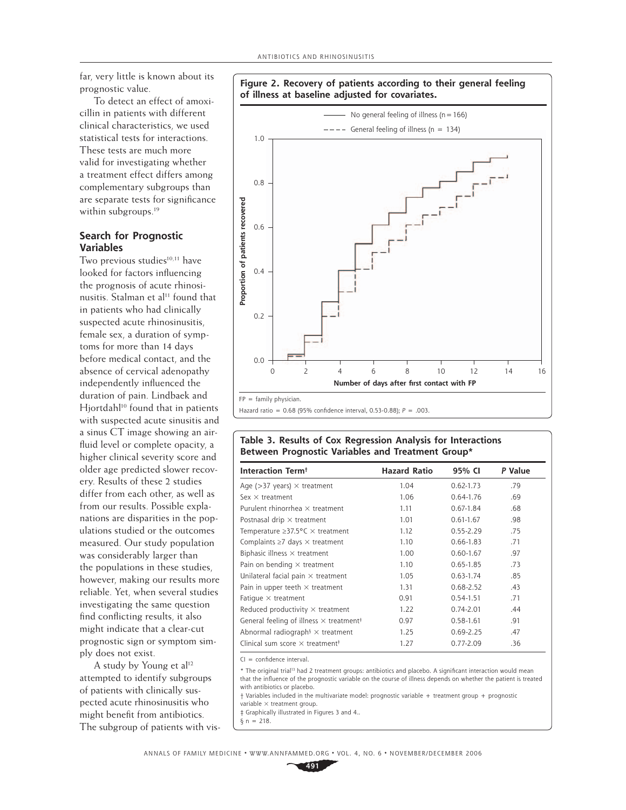far, very little is known about its prognostic value.

To detect an effect of amoxicillin in patients with different clinical characteristics, we used statistical tests for interactions. These tests are much more valid for investigating whether a treatment effect differs among complementary subgroups than are separate tests for significance within subgroups.<sup>19</sup>

## **Search for Prognostic Variables**

Two previous studies<sup>10,11</sup> have looked for factors influencing the prognosis of acute rhinosinusitis. Stalman et al<sup>11</sup> found that in patients who had clinically suspected acute rhinosinusitis, female sex, a duration of symptoms for more than 14 days before medical contact, and the absence of cervical adenopathy independently influenced the duration of pain. Lindbaek and Hjortdahl<sup>10</sup> found that in patients with suspected acute sinusitis and a sinus CT image showing an airfluid level or complete opacity, a higher clinical severity score and older age predicted slower recovery. Results of these 2 studies differ from each other, as well as from our results. Possible explanations are disparities in the populations studied or the outcomes measured. Our study population was considerably larger than the populations in these studies, however, making our results more reliable. Yet, when several studies investigating the same question find conflicting results, it also might indicate that a clear-cut prognostic sign or symptom simply does not exist.

A study by Young et al<sup>12</sup> attempted to identify subgroups of patients with clinically suspected acute rhinosinusitis who might benefit from antibiotics. The subgroup of patients with vis-





## **Table 3. Results of Cox Regression Analysis for Interactions Between Prognostic Variables and Treatment Group\***

| Interaction Term <sup>+</sup>                              | <b>Hazard Ratio</b> | 95% CI        | P Value |
|------------------------------------------------------------|---------------------|---------------|---------|
| Age ( $>37$ years) $\times$ treatment                      | 1.04                | $0.62 - 1.73$ | .79     |
| Sex $\times$ treatment                                     | 1.06                | $0.64 - 1.76$ | .69     |
| Purulent rhinorrhea $\times$ treatment                     | 1.11                | $0.67 - 1.84$ | .68     |
| Postnasal drip $\times$ treatment                          | 1.01                | $0.61 - 1.67$ | .98     |
| Temperature $\geq$ 37.5°C $\times$ treatment               | 1.12                | $0.55 - 2.29$ | .75     |
| Complaints $\geq 7$ days $\times$ treatment                | 1.10                | $0.66 - 1.83$ | .71     |
| Biphasic illness $\times$ treatment                        | 1.00                | $0.60 - 1.67$ | .97     |
| Pain on bending $\times$ treatment                         | 1.10                | $0.65 - 1.85$ | .73     |
| Unilateral facial pain $\times$ treatment                  | 1.05                | $0.63 - 1.74$ | .85     |
| Pain in upper teeth $\times$ treatment                     | 1.31                | $0.68 - 2.52$ | .43     |
| Fatique $\times$ treatment                                 | 0.91                | $0.54 - 1.51$ | .71     |
| Reduced productivity $\times$ treatment                    | 1.22                | $0.74 - 2.01$ | .44     |
| General feeling of illness $\times$ treatment <sup>‡</sup> | 0.97                | $0.58 - 1.61$ | .91     |
| Abnormal radiograph <sup>§</sup> $\times$ treatment        | 1.25                | $0.69 - 2.25$ | .47     |
| Clinical sum score $\times$ treatment <sup>†</sup>         | 1.27                | $0.77 - 2.09$ | .36     |

 $CI = confidence interval.$ 

\* The original trial<sup>13</sup> had 2 treatment groups: antibiotics and placebo. A significant interaction would mean that the influence of the prognostic variable on the course of illness depends on whether the patient is treated with antibiotics or placebo.

† Variables included in the multivariate model: prognostic variable + treatment group + prognostic variable  $\times$  treatment group.

‡ Graphically illustrated in Figures 3 and 4..

 $§ n = 218.$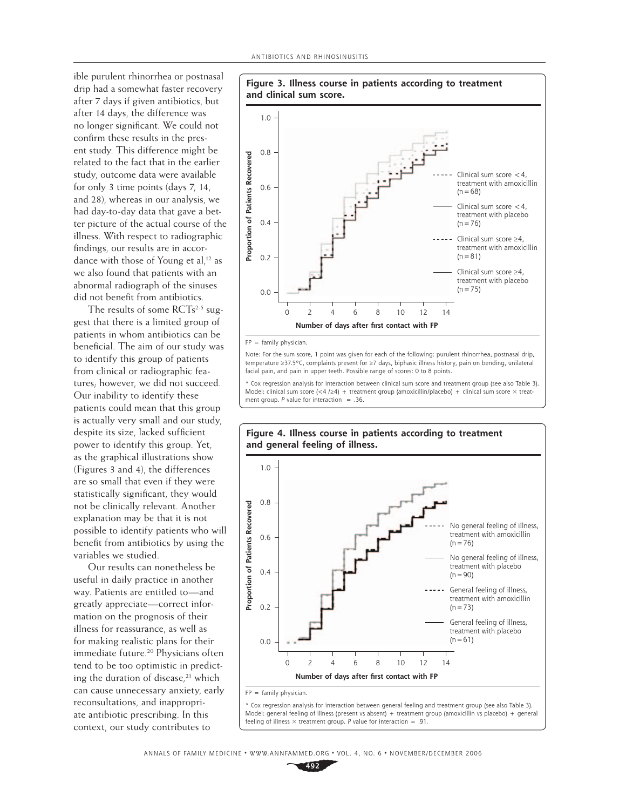ible purulent rhinorrhea or postnasal drip had a somewhat faster recovery after 7 days if given antibiotics, but after 14 days, the difference was no longer significant. We could not confirm these results in the present study. This difference might be related to the fact that in the earlier study, outcome data were available for only 3 time points (days 7, 14, and 28), whereas in our analysis, we had day-to-day data that gave a better picture of the actual course of the illness. With respect to radiographic findings, our results are in accordance with those of Young et al,<sup>12</sup> as we also found that patients with an abnormal radiograph of the sinuses did not benefit from antibiotics.

The results of some  $RCTs^{2.5}$  suggest that there is a limited group of patients in whom antibiotics can be beneficial. The aim of our study was to identify this group of patients from clinical or radiographic features; however, we did not succeed. Our inability to identify these patients could mean that this group is actually very small and our study, despite its size, lacked sufficient power to identify this group. Yet, as the graphical illustrations show (Figures 3 and 4), the differences are so small that even if they were statistically significant, they would not be clinically relevant. Another explanation may be that it is not possible to identify patients who will benefit from antibiotics by using the variables we studied.

Our results can nonetheless be useful in daily practice in another way. Patients are entitled to—and greatly appreciate—correct information on the prognosis of their illness for reassurance, as well as for making realistic plans for their immediate future.<sup>20</sup> Physicians often tend to be too optimistic in predicting the duration of disease, $21$  which can cause unnecessary anxiety, early reconsultations, and inappropriate antibiotic prescribing. In this context, our study contributes to



 $FP = family physical.$ 

Note: For the sum score, 1 point was given for each of the following: purulent rhinorrhea, postnasal drip, temperature ≥37.5°C, complaints present for ≥7 days, biphasic illness history, pain on bending, unilateral facial pain, and pain in upper teeth. Possible range of scores: 0 to 8 points.

\* Cox regression analysis for interaction between clinical sum score and treatment group (see also Table 3). Model: clinical sum score (<4 /24) + treatment group (amoxicillin/placebo) + clinical sum score  $\times$  treatment group.  $P$  value for interaction = .36.



FP = family physician.

\* Cox regression analysis for interaction between general feeling and treatment group (see also Table 3). Model: general feeling of illness (present vs absent) + treatment group (amoxicillin vs placebo) + general feeling of illness  $\times$  treatment group. P value for interaction = .91.